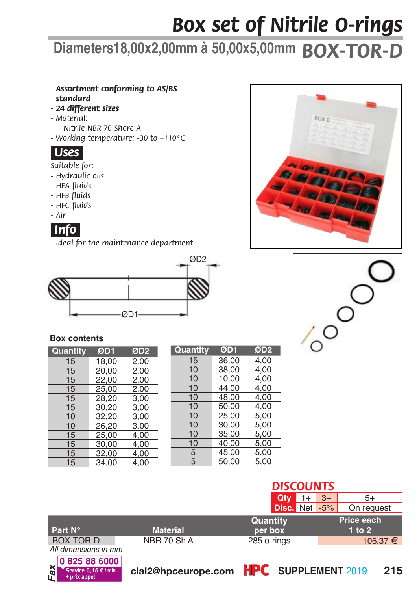## *Box set of Nitrile O-rings*

## **Diameters18,00x2,00mm à 50,00x5,00mm** *BOX-TOR-D*

- *- Assortment conforming to AS/BS standard*
- *24 different sizess*
- *Material: Nitrile NBR 70 Shore A*
- *Working temperature: -30 to +110°C*



*Suitable for:*

- *Hydraulic oils*
- *HFA fluids*
- *HFB fluids*
- *HFC fluids*
- *Air*



*- Ideal for the maintenance department*



## **Box contents**

*Fax*

| Quantity | ØD1   | ØD <sub>2</sub> |
|----------|-------|-----------------|
| 15       | 18.00 | 2,00            |
| 15       | 20,00 | 2,00            |
| 15       | 22,00 | 2,00            |
| 15       | 25,00 | 2,00            |
| 15       | 28.20 | 3.00            |
| 15       | 30,20 | 3,00            |
| 10       | 32,20 | 3,00            |
| 10       | 26.20 | 3.00            |
| 15       | 25,00 | 4,00            |
| 15       | 30,00 | 4.00            |
| 15       | 32,00 | 4,00            |
| 15       | 34.00 | 4.00            |

| Quantity | ØD1   | ØD2  |  |
|----------|-------|------|--|
| 15       | 36,00 | 4,00 |  |
| 10       | 38,00 | 4,00 |  |
| 10       | 10,00 | 4,00 |  |
| 10       | 44.00 | 4,00 |  |
| 10       | 48.00 | 4.00 |  |
| 10       | 50,00 | 4.00 |  |
| 10       | 25,00 | 5,00 |  |
| 10       | 30,00 | 5,00 |  |
| 10       | 35,00 | 5,00 |  |
| 10       | 40,00 | 5,00 |  |
| 5        | 45,00 | 5,00 |  |
| 5        | 50,00 | 5,00 |  |
|          |       |      |  |





|                      |                 | Qtv           | $3+$ | 5+         |
|----------------------|-----------------|---------------|------|------------|
|                      |                 | Disc. Net -5% |      | On request |
|                      |                 | Quantity      |      | Price each |
| Part N°              | <b>Material</b> | per box       |      | $1$ to $2$ |
| BOX-TOR-D            | NBR 70 Sh A     | 285 o-rings   |      | 106,37 €   |
| All dimensions in mm |                 |               |      |            |
| 0825886000           |                 |               |      |            |



**0,15 €/min** cial2@hpceurope.com HPC SUPPLEMENT 2019 215

*DISCOUNTS*